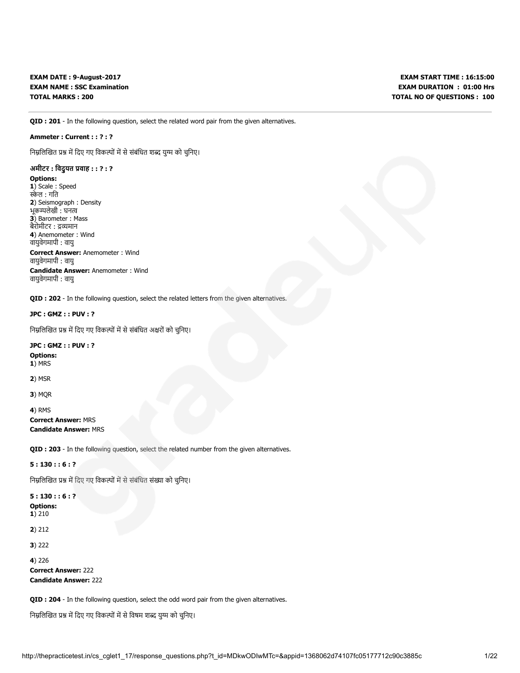EXAM DATE : 9-August-2017 EXAM NAME : SSC Examination TOTAL MARKS : 200

QID : 201 - In the following question, select the related word pair from the given alternatives.

# Ammeter : Current : : ? : ?

निम्नलिखित प्रश्न में दिए गए विकल्पों में से संबंधित शब्द युग्म को चुनिए।

# अमीटर : विदुयत प्रवाह : : ? : ?

#### Options:

1) Scale: Speed स्केल : गति 2) Seismograph : Density भूकम्पलेखी : घनत्व 3) Barometer : Mass बैरोमीटर : द्रव्यमान 4) Anemometer : Wind वायुवेगमापी : वायु Correct Answer: Anemometer : Wind वायुवेगमापी : वायु Candidate Answer: Anemometer : Wind वायुवेगमापी : वायु

QID : 202 - In the following question, select the related letters from the given alternatives.

## JPC : GMZ : : PUV : ?

निम्नलिखित प्रश्न में दिए गए विकल्पों में से संबंधित अक्षरों को चुनिए।

### JPC : GMZ : : PUV : ?

Options: 1) MRS

2) MSR

3) MQR

4) RMS

# Correct Answer: MRS Candidate Answer: MRS

QID : 203 - In the following question, select the related number from the given alternatives.

# 5 : 130 : : 6 : ?

निम्नलिखित प्रश्न में दिए गए विकल्पों में से संबंधित संख्या को चुनिए।

# 5 : 130 : : 6 : ? Options:

1) 210

2) 212

3) 222

4) 226

Correct Answer: 222 Candidate Answer: 222

QID : 204 - In the following question, select the odd word pair from the given alternatives.

निम्नलिखित प्रश्न में दिए गए विकल्पों में से विषम शब्द युग्म को चुनिए।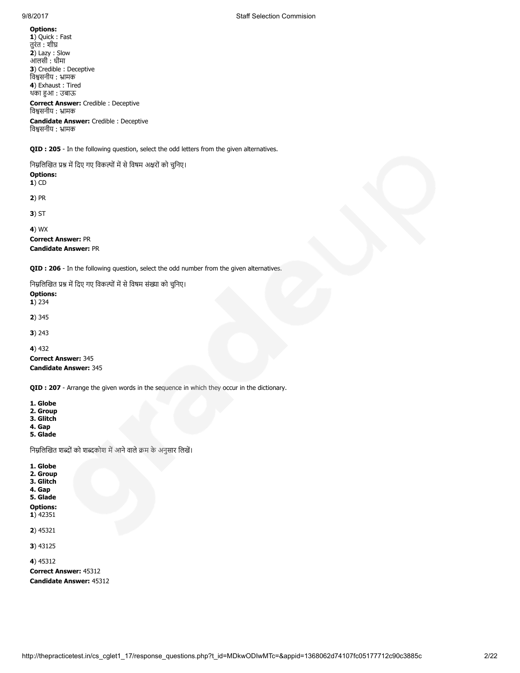1) Quick : Fast तुरंत : शी 2) Lazy : Slow आलसी : धीमा 3) Credible : Deceptive िवसनीय : ामक 4) Exhaust : Tired थका हुआ : उबाऊ

विश्वसनीय : भ्रामक

Correct Answer: Credible : Deceptive विश्वसनीय : भ्रामक Candidate Answer: Credible : Deceptive

QID : 205 - In the following question, select the odd letters from the given alternatives.

निम्नलिखित प्रश्न में दिए गए विकल्पों में से विषम अक्षरों को चुनिए। Options:  $1)$  CD 2) PR 3) ST 4) WX Correct Answer: PR Candidate Answer: PR

QID : 206 - In the following question, select the odd number from the given alternatives.

निम्नलिखित प्रश्न में दिए गए विकल्पों में से विषम संख्या को चुनिए।

Options: 1) 234 2) 345 3) 243 4) 432 Correct Answer: 345 Candidate Answer: 345

QID : 207 - Arrange the given words in the sequence in which they occur in the dictionary.

1. Globe

2. Group

3. Glitch 4. Gap

5. Glade

1. Globe 2. Group 3. Glitch 4. Gap 5. Glade Options:

निम्नलिखित शब्दों को शब्दकोश में आने वाले क्रम के अनुसार लिखें।

1) 42351 2) 45321 3) 43125 4) 45312 Correct Answer: 45312

Candidate Answer: 45312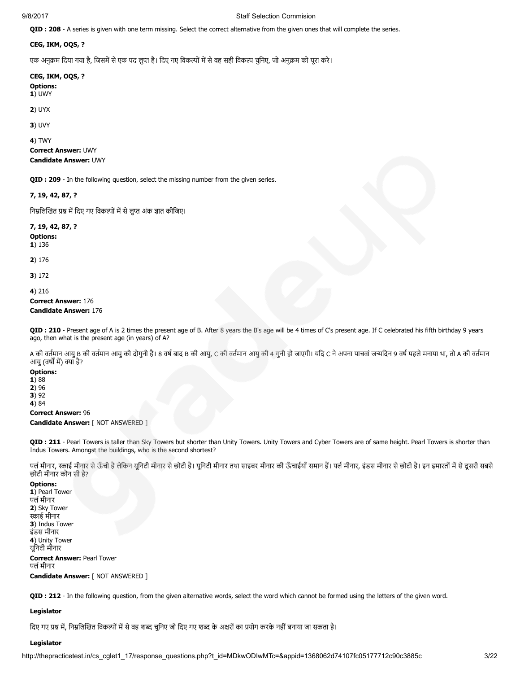# 9/8/2017 Staff Selection Commision

QID : 208 - A series is given with one term missing. Select the correct alternative from the given ones that will complete the series.

# CEG, IKM, OQS, ?

एक अनुक्रम दिया गया है, जिसमें से एक पद लुप्त है। दिए गए विकल्पों में से वह सही विकल्प चुनिए, जो अनुक्रम को पूरा करे।

CEG, IKM, OQS, ?

Options: 1) UWY

2) UYX

3) UVY

4) TWY Correct Answer: UWY Candidate Answer: UWY

QID : 209 - In the following question, select the missing number from the given series.

7, 19, 42, 87, ?

निम्नलिखित प्रश्न में दिए गए विकल्पों में से लुप्त अंक ज्ञात कीजिए।

7, 19, 42, 87, ?

Options:

1) 136

2) 176

3) 172

4) 216

Correct Answer: 176 Candidate Answer: 176

QID : 210 - Present age of A is 2 times the present age of B. After 8 years the B's age will be 4 times of C's present age. If C celebrated his fifth birthday 9 years ago, then what is the present age (in years) of A?

A की वर्तमान आयु B की वर्तमान आयु की दोगुनी है। 8 वर्ष बाद B की आयु, C की वर्तमान आयु की 4 गुनी हो जाएगी। यदि C ने अपना पाचवां जन्मदिन 9 वर्ष पहले मनाया था, तो A की वर्तमान आयु (वर्षों में) क्या है?

# Options:

1) 88 2) 96  $3)92$ 

4) 84

Correct Answer: 96

Candidate Answer: [ NOT ANSWERED ]

QID : 211 - Pearl Towers is taller than Sky Towers but shorter than Unity Towers. Unity Towers and Cyber Towers are of same height. Pearl Towers is shorter than Indus Towers. Amongst the buildings, who is the second shortest?

पर्ल मीनार, स्काई मीनार से ऊँची है लेकिन यूनिटी मीनार सेछोटी मीनार तथा साइबर मीनार की ऊँचाईयाँ समान है। पल मीनार, इंडस मीनार से छोटी है। इन इमारतों में से दूसरी सबसे छोटी मीनार कौन सी है?

#### Options:

1) Pearl Tower पर्ल मीनार 2) Sky Tower ाई मीनार 3) Indus Tower इंडस मीनार 4) Unity Tower यूिनटी मीनार

Correct Answer: Pearl Tower पर्ल मीनार Candidate Answer: [ NOT ANSWERED ]

QID : 212 - In the following question, from the given alternative words, select the word which cannot be formed using the letters of the given word.

# Legislator

दिए गए प्रश्न में, निम्नलिखित विकल्पों में से वह शब्द चुनिए जो दिए गए शब्द के अक्षरों का प्रयोग करके नहीं बनाया जा सकता है।

# Legislator

http://thepracticetest.in/cs\_cglet1\_17/response\_questions.php?t\_id=MDkwODIwMTc=&appid=1368062d74107fc05177712c90c3885c 3/22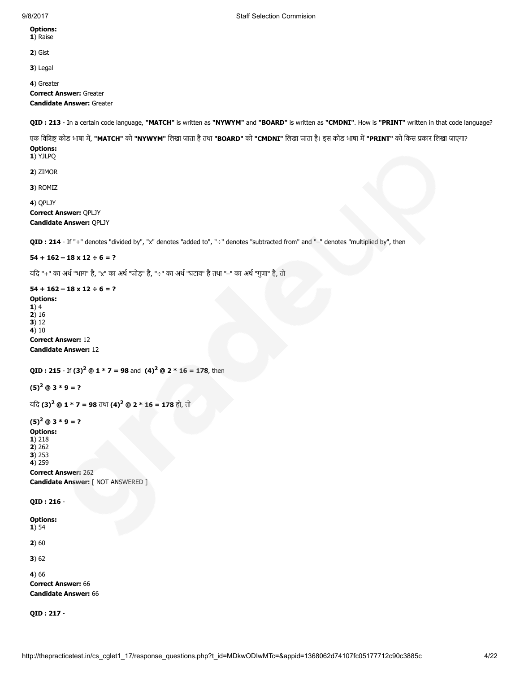# 9/8/2017 Staff Selection Commision

#### Options: 1) Raise

2) Gist

3) Legal

4) Greater Correct Answer: Greater Candidate Answer: Greater

QID : 213 - In a certain code language, "MATCH" is written as "NYWYM" and "BOARD" is written as "CMDNI". How is "PRINT" written in that code language?

एक विशिष्ट कोड भाषा में, "MATCH" को "NYWYM" लिखा जाता है तथा "BOARD" को "CMDNI" लिखा जाता है। इस कोड भाषा में "PRINT" को किस प्रकार लिखा जाएगा? Options:

# 1) YJLPQ

2) ZIMOR

3) ROMIZ

4) QPLJY

Correct Answer: QPLJY Candidate Answer: QPLJY

QID : 214 - If "+" denotes "divided by", "x" denotes "added to", "÷" denotes "subtracted from" and "-" denotes "multiplied by", then

# $54 + 162 - 18 \times 12 \div 6 = ?$

यिद "+" का अथ"भाग" है, "x" का अथ"जोड़" है, "÷" का अथ"घटाव" हैतथा "–" का अथ"गुणा" है, तो

# $54 + 162 - 18 \times 12 \div 6 = ?$

Options: 1) 4  $2)16$ 3) 12 4) 10 Correct Answer: 12 Candidate Answer: 12

```
QID : 215 - If (3)^2 @ 1 * 7 = 98 and (4)^2 @ 2 * 16 = 178, then
```
 $(5)^2$  @ 3 \* 9 = ?

```
यदि (3)<sup>2</sup> @ 1 * 7 = 98 तथा (4)<sup>2</sup> @ 2 * 16 = 178 हो, तो
```
# $(5)^2$  @ 3 \* 9 = ?

Options: 1) 218  $2) 262$ 3) 253

4) 259

Correct Answer: 262 Candidate Answer: [ NOT ANSWERED ]

QID : 216 -

Options:  $1) 54$ 

2) 60

3) 62

4) 66

Correct Answer: 66 Candidate Answer: 66

QID : 217 -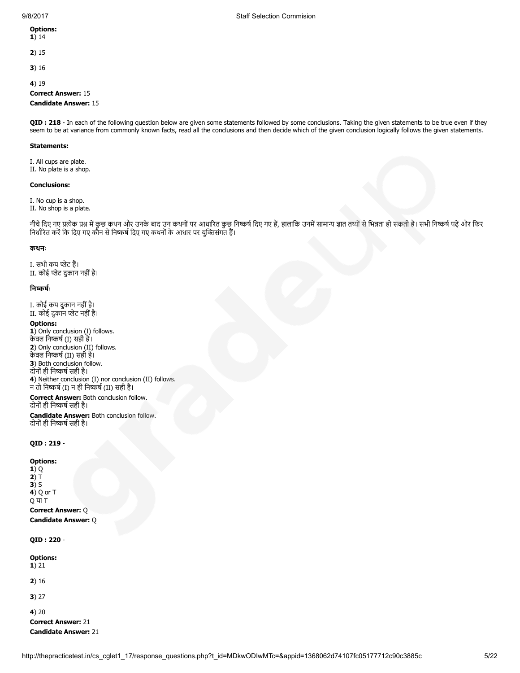- 1) 14
- 2) 15
- 
- 3) 16

4) 19

# Correct Answer: 15

# Candidate Answer: 15

QID : 218 - In each of the following question below are given some statements followed by some conclusions. Taking the given statements to be true even if they seem to be at variance from commonly known facts, read all the conclusions and then decide which of the given conclusion logically follows the given statements.

## Statements:

I. All cups are plate. II. No plate is a shop.

# Conclusions:

I. No cup is a shop. II. No shop is a plate.

नीचे दिए गए प्रत्येक प्रश्न में कुछ कथन और उनके बाद उन कथनों पर आधारित कुछ निष्कर्ष दिए गए हैं, हालांकि उनमें सामान्य ज्ञात तथ्यों से भिन्नता हो सकती है। सभी निष्कर्ष पढ़ें और फिर निर्धारित करें कि दिए गए कौन से निष्कर्ष दिए गए कथनों के आधार पर युक्तिसंगत हैं।

#### कथनः

I. सभी कप प्लेट हैं। II. कोई प्लेट दुकान नहीं है।

# निष्कर्षः

I. कोई कप दुकान नहीं है। II. कोई दुकान प्लेट नहीं है।

#### Options:

1) Only conclusion (I) follows. केवल निष्कर्ष (I) सही है। 2) Only conclusion (II) follows. केवल निष्कर्ष (II) सही है। 3) Both conclusion follow. दोनों ही निष्कर्ष सही है। 4) Neither conclusion (I) nor conclusion (II) follows. न तो निष्कर्ष (I) न ही निष्कर्ष (II) सही है। Correct Answer: Both conclusion follow.

# दोनों ही निष्कर्ष सही है।

Candidate Answer: Both conclusion follow. दोनों ही निष्कर्ष सही है।

## QID : 219 -

Options: 1) Q  $2) T$ 3) S  $\overline{4}$ ) Q or T Q या T Correct Answer: Q Candidate Answer: Q

QID : 220 -

Options: 1) 21 2) 16 3) 27 4) 20 Correct Answer: 21

Candidate Answer: 21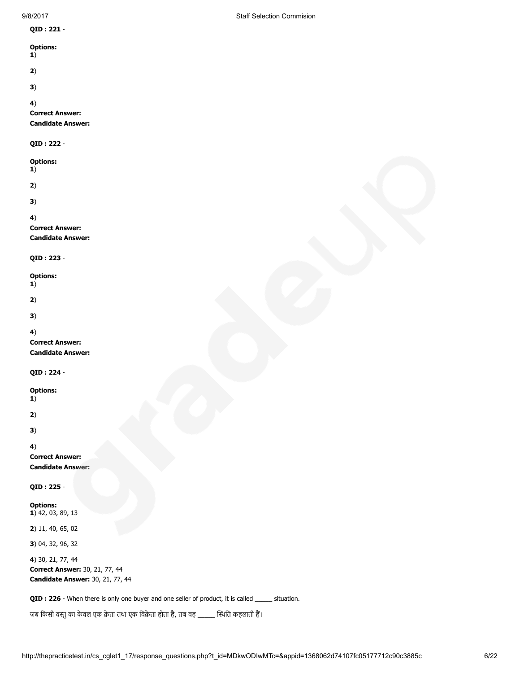| 9/8/2017                                                                                | <b>Staff Selection Commision</b> |
|-----------------------------------------------------------------------------------------|----------------------------------|
| QID: 221 -                                                                              |                                  |
| <b>Options:</b><br>1)                                                                   |                                  |
| 2)                                                                                      |                                  |
| 3)                                                                                      |                                  |
| 4)<br><b>Correct Answer:</b><br><b>Candidate Answer:</b>                                |                                  |
| QID: 222 -                                                                              |                                  |
| <b>Options:</b><br>1)                                                                   |                                  |
| 2)                                                                                      |                                  |
| 3)                                                                                      |                                  |
| 4)<br><b>Correct Answer:</b><br><b>Candidate Answer:</b>                                |                                  |
| QID: 223 -                                                                              |                                  |
| <b>Options:</b><br>1)                                                                   |                                  |
| 2)                                                                                      |                                  |
| 3)                                                                                      |                                  |
| 4)<br><b>Correct Answer:</b><br><b>Candidate Answer:</b>                                |                                  |
| QID: 224 -                                                                              |                                  |
| <b>Options:</b><br>1)                                                                   |                                  |
| 2)                                                                                      |                                  |
| 3)                                                                                      |                                  |
| 4)<br><b>Correct Answer:</b><br><b>Candidate Answer:</b>                                |                                  |
| QID: 225 -                                                                              |                                  |
| <b>Options:</b><br>1) 42, 03, 89, 13                                                    |                                  |
| 2) 11, 40, 65, 02                                                                       |                                  |
| 3) 04, 32, 96, 32                                                                       |                                  |
| 4) 30, 21, 77, 44<br>Correct Answer: 30, 21, 77, 44<br>Candidate Answer: 30, 21, 77, 44 |                                  |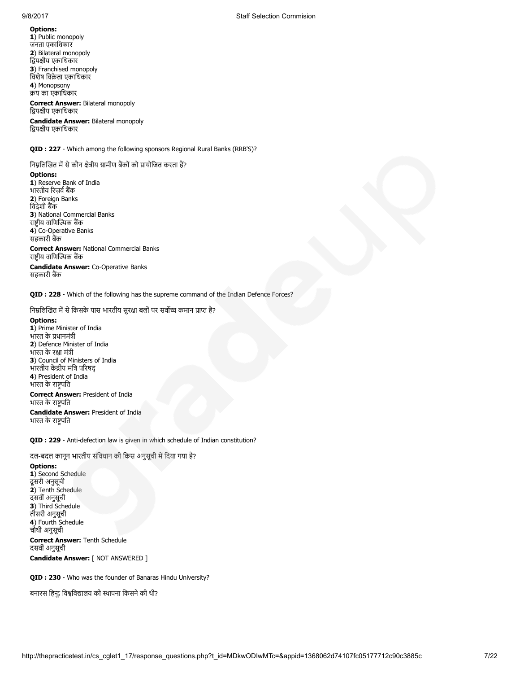9/8/2017 Staff Selection Commision

# Options:

1) Public monopoly जनता एकािधकार 2) Bilateral monopoly द्विपक्षीय एकाधिकार 3) Franchised monopoly िवशेष िवेता एकािधकार 4) Monopsony य का एकािधकार

#### Correct Answer: Bilateral monopoly द्विपक्षीय एकाधिकार

Candidate Answer: Bilateral monopoly द्विपक्षीय एकाधिकार

QID : 227 - Which among the following sponsors Regional Rural Banks (RRB'S)?

निम्नलिखित में से कौन क्षेत्रीय ग्रामीण बैंकों को प्रायोजित करता हैं?

#### Options:

1) Reserve Bank of India भारतीय रिज़र्व बैंक 2) Foreign Banks िवदेशी बक 3) National Commercial Banks राष्ट्रीय वाणिज्यिक बैंक 4) Co-Operative Banks सहकारी बैंक

Correct Answer: National Commercial Banks राष्ट्रीय वाणिज्यिक बैंक

Candidate Answer: Co-Operative Banks सहकारी बैंक

QID : 228 - Which of the following has the supreme command of the Indian Defence Forces?

निम्नलिखित में से किसके पास भारतीय सुरक्षा बलों पर सर्वोच्च कमान प्राप्त है?

#### Options:

1) Prime Minister of India भारत के धानमंी 2) Defence Minister of India भारत के रक्षा मंत्री 3) Council of Ministers of India भारतीय केंद्रीय मंत्रि परिषद 4) President of India भारत के रापित Correct Answer: President of India

भारत के राष्ट्रपति

Candidate Answer: President of India भारत के राष्ट्रपति

QID : 229 - Anti-defection law is given in which schedule of Indian constitution?

दल-बदल कानून भारतीय संविधान की किस अनुसूची में दिया गया है?

# Options:

1) Second Schedule दूसरी अनुसूची 2) Tenth Schedule दसवींअनुसूची 3) Third Schedule तीसरी अनुसूची 4) Fourth Schedule चौथी अनुसूची Correct Answer: Tenth Schedule दसवींअनुसूची Candidate Answer: [ NOT ANSWERED ]

QID : 230 - Who was the founder of Banaras Hindu University?

बनारस हिन्दू विश्वविद्यालय की स्थापना किसने की थी?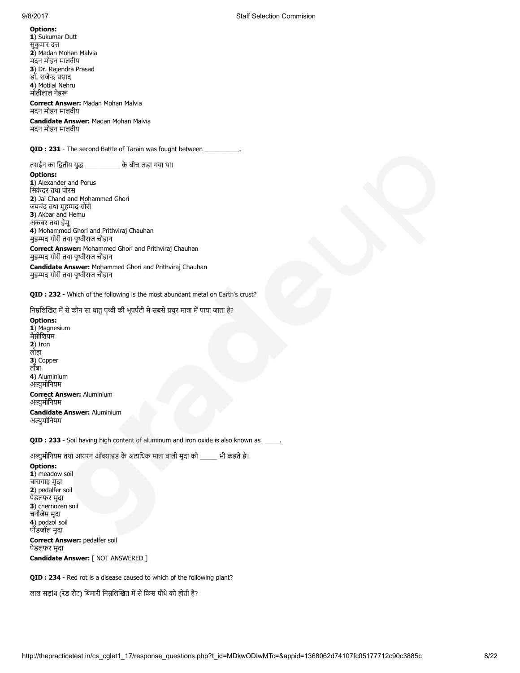1) Sukumar Dutt सुकुमार द 2) Madan Mohan Malvia मदन मोहन मालवीय 3) Dr. Rajendra Prasad डॉ. राजेन्द्र प्रसाद 4) Motilal Nehru मोतीलाल नेह

# Correct Answer: Madan Mohan Malvia मदन मोहन मालवीय

Candidate Answer: Madan Mohan Malvia मदन मोहन मालवीय

QID : 231 - The second Battle of Tarain was fought between

तराईन का द्वितीय युद्ध \_\_\_\_\_\_\_\_\_\_\_ के बीच लड़ा गया था।

#### Options:

1) Alexander and Porus सिकंदर तथा पोरस 2) Jai Chand and Mohammed Ghori जयचंद तथा मुहम्मद ग़ोरी 3) Akbar and Hemu अकबर तथा हेमू 4) Mohammed Ghori and Prithviraj Chauhan मुहम्मद ग़ोरी तथा पृथ्वीराज चौहान

Correct Answer: Mohammed Ghori and Prithviraj Chauhan मुहम्मद ग़ोरी तथा पृथ्वीराज चौहान

Candidate Answer: Mohammed Ghori and Prithviraj Chauhan मुहम्मद ग़ोरी तथा पृथ्वीराज चौहान

QID : 232 - Which of the following is the most abundant metal on Earth's crust?

निम्नलिखित में से कौन सा धातु पृथ्वी की भूपर्पटी में सबसे प्रचुर मात्रा में पाया जाता है?

Options: 1) Magnesium मैग्नीशियम 2) Iron लोहा 3) Copper ताँबा 4) Aluminium अल्यमीनियम Correct Answer: Aluminium अल्युमीनियम

Candidate Answer: Aluminium अल्युमीनियम

QID : 233 - Soil having high content of aluminum and iron oxide is also known as \_

अल्युमीनियम तथा आयरन ऑक्साइड के अत्यधिक मात्रा वाली मृदा को \_\_\_\_\_ भी कहते है।

### Options:

1) meadow soil चारागाह मृदा 2) pedalfer soil पेडलफर मृदा 3) chernozen soil चनजेम मृदा 4) podzol soil पॉडजॉल मृदा

Correct Answer: pedalfer soil पेडलफर मृदा

Candidate Answer: [ NOT ANSWERED ]

QID : 234 - Red rot is a disease caused to which of the following plant?

लाल सड़ांध (रेड रौट) बिमारी निम्नलिखित में से किस पौधे को होती है?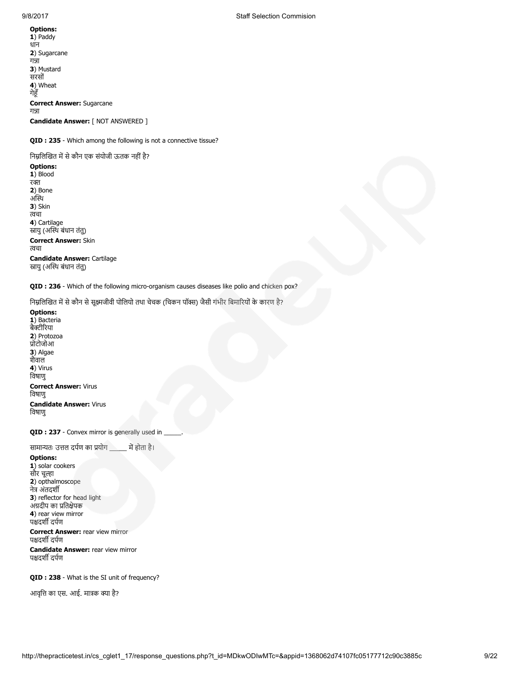### Options: 1) Paddy धान 2) Sugarcane गन्ना 3) Mustard सरसों 4) Wheat गेहूँ Correct Answer: Sugarcane गन्ना Candidate Answer: [ NOT ANSWERED ]

QID : 235 - Which among the following is not a connective tissue?

निम्नलिखित में से कौन एक संयोजी ऊतक नहीं है? Options: 1) Blood रक्त 2) Bone अस्थि 3) Skin चा 4) Cartilage स्रायु (अस्थि बंधान तंतु) Correct Answer: Skin चा Candidate Answer: Cartilage स्रायु (अस्थि बंधान तंतु)

QID : 236 - Which of the following micro-organism causes diseases like polio and chicken pox?

निम्नलिखित में से कौन से सूक्ष्मजीवी पोलियो तथा चेचक (चिकन पॉक्स) जैसी गंभीर बिमारियों के कारण है?

Options: 1) Bacteria बैक्टीरिया 2) Protozoa ोटोजोआ 3) Algae शैवाल 4) Virus िवषाणु Correct Answer: Virus िवषाणु Candidate Answer: Virus िवषाणु

QID : 237 - Convex mirror is generally used in

सामान्यतः उत्तल दर्पण का प्रयोग \_\_\_\_\_ में होता है।

Options: 1) solar cookers सौर चल्हा 2) opthalmoscope नेत्र अंतदर्शी 3) reflector for head light अंग्रदीप का प्रतिक्षेपक 4) rear view mirror पश्चदर्शी दर्पण

**Correct Answer: rear view mirror** पश्चदर्शी दर्पण

Candidate Answer: rear view mirror पश्चदर्शी दर्पण

QID : 238 - What is the SI unit of frequency?

आवृत्ति का एस. आई. मात्रक क्या है?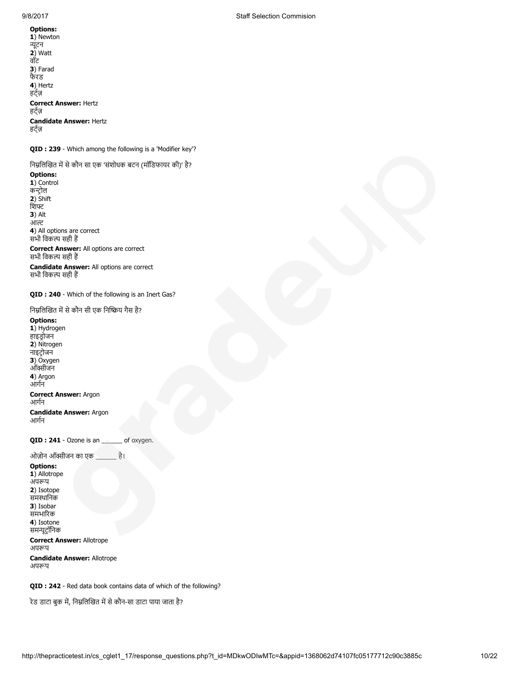1) Newton न्यूटन  $2)$  Watt वॉट 3) Farad फैरड 4) Hertz हट्ज़ Correct Answer: Hertz हट्ज़ Candidate Answer: Hertz हट्ज़

QID : 239 - Which among the following is a 'Modifier key'?

निम्नलिखित में से कौन सा एक 'संशोधक बटन (मॉडिफायर की)' है?

Options: 1) Control कन्ट्रोल 2) Shift िश 3) Alt आ 4) All options are correct सभी विकल्प सही हैं

Correct Answer: All options are correct सभी विकल्प सही हैं

Candidate Answer: All options are correct सभी विकल्प सही हैं

QID : 240 - Which of the following is an Inert Gas?

निम्नलिखित में से कौन सी एक निष्क्रिय गैस है?

Options: 1) Hydrogen

हाइडोजन 2) Nitrogen नाइटोजन 3) Oxygen ऑक्सीजन 4) Argon आगन Correct Answer: Argon आगन Candidate Answer: Argon आगन QID : 241 - Ozone is an \_\_\_\_\_\_ of oxygen. ओज़ोन ऑक्सीजन का एक \_\_\_\_\_\_\_ है।

Options: 1) Allotrope अपरूप 2) Isotope समथािनक 3) Isobar समभारक 4) Isotone समूटॉिनक

Correct Answer: Allotrope अपरूप

Candidate Answer: Allotrope अपरूप

QID : 242 - Red data book contains data of which of the following?

रेड डाटा बुक में, निम्नलिखित में से कौन-सा डाटा पाया जाता है?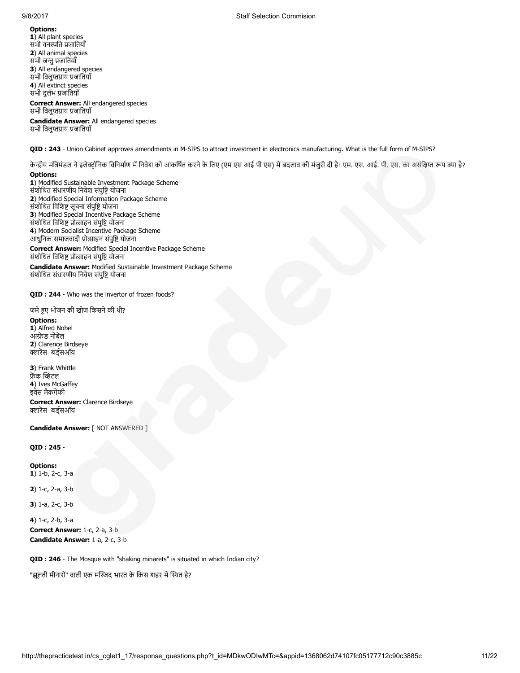1) All plant species सभी वनस्पति प्रजातियाँ 2) All animal species सभी जन्तु प्रजातियाँ 3) All endangered species सभी विलुप्तप्राय प्रजातियाँ 4) All extinct species सभी दुलभ जाितयाँ

### Correct Answer: All endangered species सभी विलुप्तप्राय प्रजातियाँ

Candidate Answer: All endangered species सभी विलुप्तप्राय प्रजातियाँ

QID : 243 - Union Cabinet approves amendments in M-SIPS to attract investment in electronics manufacturing. What is the full form of M-SIPS?

केन्द्रीय मंत्रिमंडल ने इलेक्ट्रॉनिक विनिर्माण में निवेश को आकर्षित करने के लिए (एम एस आएस) में बदलाव की मंजुरी दी है। एम. एस. आई. पी. एस. का असंक्षिप्त रूप क्या है?

#### Options:

1) Modified Sustainable Investment Package Scheme संशोिधत संधारणीय िनवेश संपुि योजना 2) Modified Special Information Package Scheme संशोधित विशिष्ट सूचना संपुष्टि योजना 3) Modified Special Incentive Package Scheme संशोधित विशिष्ट प्रोत्साहन संपुष्टि योजना 4) Modern Socialist Incentive Package Scheme आधुनिक समाजवादी प्रोत्साहन संपुष्टि योजना

Correct Answer: Modified Special Incentive Package Scheme संशोधित विशिष्ट प्रोत्साहन संपुष्टि योजना

Candidate Answer: Modified Sustainable Investment Package Scheme संशोिधत संधारणीय िनवेश संपुि योजना

QID : 244 - Who was the invertor of frozen foods?

जमे हुए भोजन की खोज किसने की थी?

#### Options:

1) Alfred Nobel अेड नोबेल 2) Clarence Birdseye क्लारेंस बर्ड्सऑय

3) Frank Whittle फ्रैंक व्हिटल 4) Ives McGaffey इवेस मैकगेफी

Correct Answer: Clarence Birdseye क्लारेंस बर्ड्सऑय

Candidate Answer: [ NOT ANSWERED ]

### QID : 245 -

Options: 1) 1-b, 2-c, 3-a

2) 1-c, 2-a, 3-b

3) 1-a, 2-c, 3-b

4) 1-c, 2-b, 3-a Correct Answer: 1-c, 2-a, 3-b Candidate Answer: 1-a, 2-c, 3-b

QID : 246 - The Mosque with "shaking minarets" is situated in which Indian city?

"झूलती मीनारों" वाली एक मस्जिद भारत के किस शहर में स्थित है?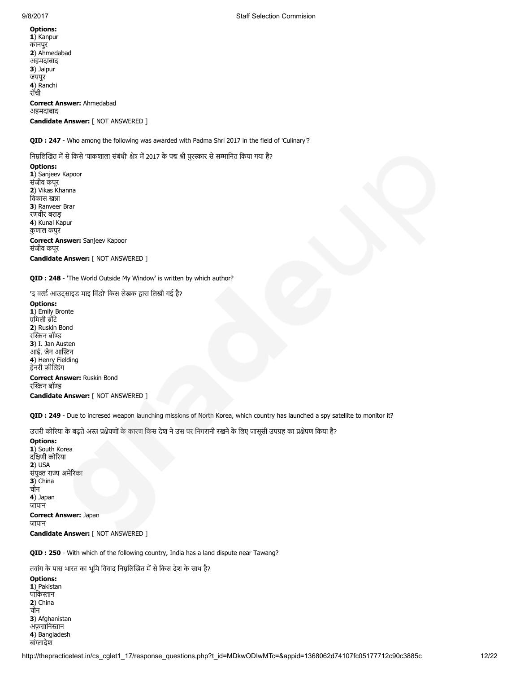1) Kanpur कानपुर 2) Ahmedabad अहमदाबाद 3) Jaipur जयपुर 4) Ranchi राँची Correct Answer: Ahmedabad अहमदाबाद Candidate Answer: [ NOT ANSWERED ]

QID : 247 - Who among the following was awarded with Padma Shri 2017 in the field of 'Culinary'?

निम्नलिखित में से किसे 'पाकशाला संबंधी' क्षेत्र में 2017 के पद्म श्री पुरस्कार से सम्मानित किया गया है?

Options: 1) Sanjeev Kapoor संजीव कपूर 2) Vikas Khanna विकास खन्ना 3) Ranveer Brar रणवीर बराड़ 4) Kunal Kapur कुणाल कपुर Correct Answer: Sanjeev Kapoor संजीव कपूर Candidate Answer: [ NOT ANSWERED ]

QID : 248 - 'The World Outside My Window' is written by which author?

'द वर्ल्ड आउट्साइड माइ विंडो' किस लेखक द्वारा लिखी गई है?

Options: 1) Emily Bronte एमिली ब्रोंटे 2) Ruskin Bond रस्किन बॉण्ड 3) I. Jan Austen आई. जेन आन 4) Henry Fielding हेनरी फ़ील्डिंग

Correct Answer: Ruskin Bond रस्किन बॉण्ड Candidate Answer: [ NOT ANSWERED ]

QID : 249 - Due to incresed weapon launching missions of North Korea, which country has launched a spy satellite to monitor it?

उत्तरी कोरिया के बढ़ते अस्त्र प्रक्षेपणों के कारण किस देश ने उस पर निगरानी रखने के लिए जासूसी उपग्रह का प्रक्षेपण किया है?

Options: 1) South Korea दिणी कोरया 2) USA संयुक्त राज्य अमेरिका 3) China चीन 4) Japan जापान Correct Answer: Japan जापान Candidate Answer: [ NOT ANSWERED ]

QID : 250 - With which of the following country, India has a land dispute near Tawang?

तवांग के पास भारत का भूमि विवाद निम्नलिखित में से किस देश के साथ है?

Options: 1) Pakistan पाकिस्तान 2) China चीन 3) Afghanistan अफ़ग़ानिस्तान 4) Bangladesh बांग्लादेश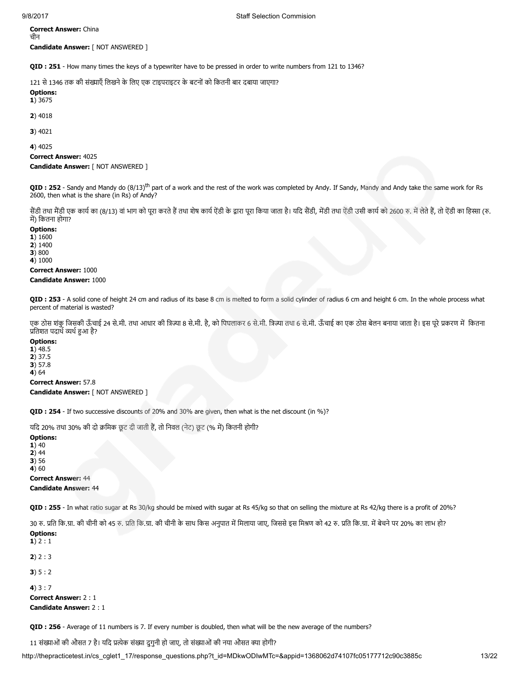Correct Answer: China चीन Candidate Answer: [ NOT ANSWERED ]

QID : 251 - How many times the keys of a typewriter have to be pressed in order to write numbers from 121 to 1346?

121 से 1346 तक की संख्याएँ लिखने के लिए एक टाइपराइटर के बटनों को कितनी बार दबाया जाएगा?

Options: 1) 3675

2) 4018

3) 4021

4) 4025

Correct Answer: 4025 Candidate Answer: [ NOT ANSWERED ]

QID: 252 - Sandy and Mandy do (8/13)<sup>th</sup> part of a work and the rest of the work was completed by Andy. If Sandy, Mandy and Andy take the same work for Rs 2600, then what is the share (in Rs) of Andy?

सैंडी तथा मैंडी एक कार्य का (8/13) वां भाग को पूरा करते हैं तथा शेष कार्य ऐडी के द्वारा पूरा जिया जाता है। यदि सेंडी, मेंडी तथा ऐंडी उसी कार्य को 2600 रु. में लेते हैं, तो ऐंडी का हिस्सा (रु. में) कितना होगा?

#### Options:

1) 1600 2) 1400 3) 800

4) 1000

Correct Answer: 1000

#### Candidate Answer: 1000

QID : 253 - A solid cone of height 24 cm and radius of its base 8 cm is melted to form a solid cylinder of radius 6 cm and height 6 cm. In the whole process what percent of material is wasted?

एक ठोस शंकु जिसकी ऊँचाई 24 से.मी. तथा आधार की त्रिज्या 8 से.मी. है, को पिघलाकर 6 से.मी. त्रिज्या तथा 6 से.मी. ऊँचाई का एक ठोस बेलन बनाया जाता है। इस पूरे प्रकरण में कितना प्रतिशत पदार्थ व्यर्थ हुआ है?

# Options:

1) 48.5 2) 37.5 3) 57.8 4) 64

Correct Answer: 57.8 Candidate Answer: [ NOT ANSWERED ]

QID : 254 - If two successive discounts of 20% and 30% are given, then what is the net discount (in %)?

यदि 20% तथा 30% की दो क्रमिक छूट दी जाती हैं, तो निवल (नेट) छूट (% में) कितनी होगी?

Options: 1) 40 2) 44 3) 56 4) 60 Correct Answer: 44 Candidate Answer: 44

QID: 255 - In what ratio sugar at Rs 30/kg should be mixed with sugar at Rs 45/kg so that on selling the mixture at Rs 42/kg there is a profit of 20%?

30 रु. प्रति कि.ग्रा. की चीनी को 45 रु. प्रति कि.ग्रा. की चीनी के साथ किस अनुपात में मिलाया जाए, जिससे इस मिश्रण को 42 रु. प्रति कि.ग्रा. में बेचने पर 20% का लाभ हो?

```
Options:
1) 2:12) 2 : 33) 5 : 2
4)3:7Correct Answer: 2 : 1
Candidate Answer: 2 : 1
```
QID : 256 - Average of 11 numbers is 7. If every number is doubled, then what will be the new average of the numbers?

11 संख्याओं की औसत 7 है। यदि प्रत्येक संख्या दुगुनी हो जाए, तो संख्याओं की नया औसत क्या होगी?

http://thepracticetest.in/cs\_cglet1\_17/response\_questions.php?t\_id=MDkwODIwMTc=&appid=1368062d74107fc05177712c90c3885c 13/22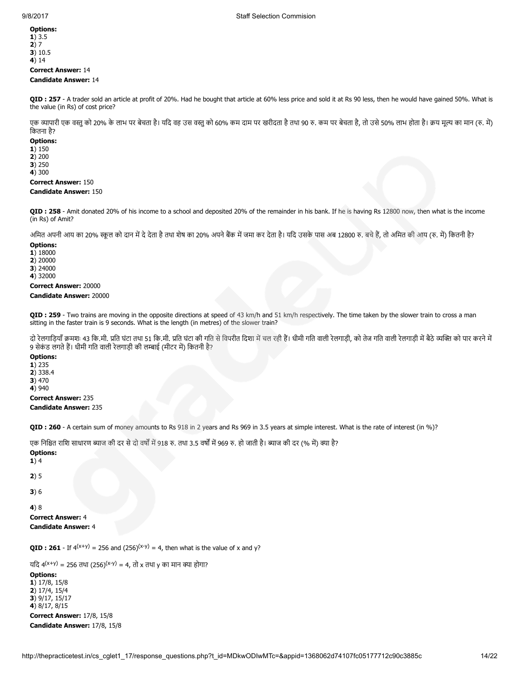1) 3.5 2) 7 3) 10.5 4) 14

# Correct Answer: 14

# Candidate Answer: 14

QID : 257 - A trader sold an article at profit of 20%. Had he bought that article at 60% less price and sold it at Rs 90 less, then he would have gained 50%. What is the value (in Rs) of cost price?

एक व्यापारी एक वस्तु को 20% के लाभ पर बेचता है। यदि वह उस वस्तु को 60% कम दाम पर बरीदा है तथा 90 रु. कम पर बेचता है, तो उसे 50% लाभ होता है। क्रय मूल्य का मान (रु. में) िकतना है?

#### Options:

1) 150 2) 200 3) 250 4) 300

Correct Answer: 150

# Candidate Answer: 150

QID : 258 - Amit donated 20% of his income to a school and deposited 20% of the remainder in his bank. If he is having Rs 12800 now, then what is the income (in Rs) of Amit?

अमित अपनी आय का 20% स्कूल को दान में दे देता है तथा शेष का 20% अपने बैंक में जमा कर देता है। यदि उसके पास अब 12800 रु. बचे हैं, तो अमित की आय (रु. में) कितनी है?

#### Options:

1) 18000

2) 20000

3) 24000

4) 32000

Correct Answer: 20000

#### Candidate Answer: 20000

QID : 259 - Two trains are moving in the opposite directions at speed of 43 km/h and 51 km/h respectively. The time taken by the slower train to cross a man sitting in the faster train is 9 seconds. What is the length (in metres) of the slower train?

दो रेलगाड़ियाँ क्रमशः 43 कि.मी. प्रति घंटा तथा 51 कि.मी. प्रति घंटा की गति से विपरीत दिशा में चल रही हैं। धीमी गति वाली रेलगाड़ी मान वाली रेलगाड़ी में बैठे व्यक्ति को पार करने में 9 सेकंड लगते हैं। धीमी गति वाली रेलगाड़ी की लम्बाई (मीटर में) कितनी है?

# Options:

1) 235 2) 338.4

3) 470

4) 940

Correct Answer: 235

Candidate Answer: 235

QID : 260 - A certain sum of money amounts to Rs 918 in 2 years and Rs 969 in 3.5 years at simple interest. What is the rate of interest (in %)?

एक निश्चित राशि साधारण ब्याज की दर से दो वर्षों में 918 रु. तथा 3.5 वर्षों में 969 रु. हो जाती है। ब्याज की दर (% में) क्या है?

Options:

1) 4

2) 5

3) 6

4) 8

Correct Answer: 4 Candidate Answer: 4

**QID : 261** - If  $4^{(x+y)} = 256$  and  $(256)^{(x-y)} = 4$ , then what is the value of x and y?

यदि 4<sup>(x+y)</sup> = 256 तथा (256)<sup>(x-y)</sup> = 4, तो x तथा y का मान क्या होगा?

Options:

1) 17/8, 15/8 2) 17/4, 15/4 3) 9/17, 15/17 4) 8/17, 8/15 Correct Answer: 17/8, 15/8 Candidate Answer: 17/8, 15/8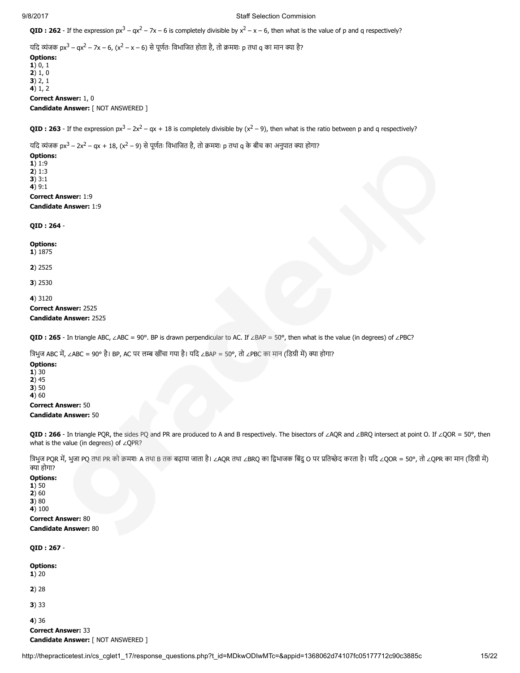#### 9/8/2017 Staff Selection Commision

**QID**: 262 - If the expression  $px^3 - qx^2 - 7x - 6$  is completely divisible by  $x^2 - x - 6$ , then what is the value of p and q respectively?

यदि व्यंजक px<sup>3</sup> – qx<sup>2</sup> – 7x – 6, (x<sup>2</sup> – x – 6) से पूर्णतः विभाजित होता है, तो क्रमशः p तथा q का मान क्या है?

Options: 1) 0, 1 2) 1, 0 3) 2, 1 4) 1, 2 Correct Answer: 1, 0 Candidate Answer: [ NOT ANSWERED ]

**QID**: **263** - If the expression  $px^3 - 2x^2 - qx + 18$  is completely divisible by  $(x^2 - 9)$ , then what is the ratio between p and q respectively?

यदि व्यंजक px $^3$  – 2x<sup>2</sup> – qx + 18, (x<sup>2</sup> – 9) से पूर्णतः विभाजित है, तो क्रमशः p तथा q के बीच का अनुपात क्या होगा?

# Options:

1) 1:9 2) 1:3 3) 3:1

 $4)9:1$ 

# Correct Answer: 1:9

Candidate Answer: 1:9

#### QID : 264 -

Options:

1) 1875

2) 2525

3) 2530

4) 3120

Correct Answer: 2525

# Candidate Answer: 2525

QID : 265 - In triangle ABC, ∠ABC = 90°. BP is drawn perpendicular to AC. If ∠BAP = 50°, then what is the value (in degrees) of ∠PBC?

त्रिभुज ABC में, ∠ABC = 90° है। BP, AC पर लम्ब खींचा गया है। यदि ∠BAP = 50°, तो ∠PBC का मान (डिग्री में) क्या होगा?

# Options: 1) 30  $2)45$ 3) 50 4) 60

Correct Answer: 50 Candidate Answer: 50

QID : 266 - In triangle PQR, the sides PQ and PR are produced to A and B respectively. The bisectors of ∠AQR and ∠BRQ intersect at point O. If ∠QOR = 50°, then what is the value (in degrees) of ∠QPR?

त्रिभुज PQR में, भुजा PQ तथा PR को क्रमशः A तथा B तक बढ़ाया जाता है। ∠AQR तथा ∠BRQ का द्विभाजक बिंदु O पर प्रतिच्छेद करता है। यदि ∠QOR = 50°, तो ∠QPR का मान (डिग्री में) ा होगा?

# Options:

1) 50 2) 60 3) 80

4) 100 Correct Answer: 80

Candidate Answer: 80

# QID : 267 -

Options:  $1) 20$ 

2) 28

3) 33

4) 36 Correct Answer: 33 Candidate Answer: [ NOT ANSWERED ]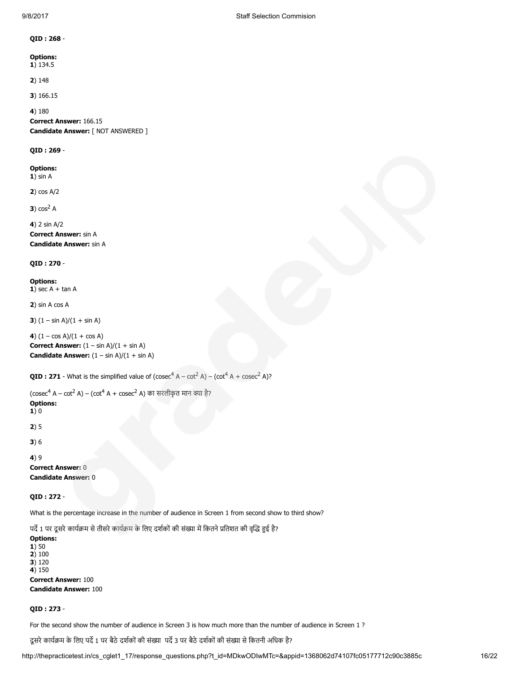### QID : 268 -

# Options:

1) 134.5

2) 148

3) 166.15

# 4) 180

Correct Answer: 166.15 Candidate Answer: [ NOT ANSWERED ]

# QID : 269 -

Options:  $1)$  sin A

2) cos A/2

 $3) cos<sup>2</sup> A$ 

4) 2 sin A/2 Correct Answer: sin A Candidate Answer: sin A

# QID : 270 -

Options: 1) sec  $A + \tan A$ 

2) sin A cos A

3)  $(1 - \sin A)/(1 + \sin A)$ 

```
4) (1 - \cos A)/(1 + \cos A)Correct Answer: (1 - \sin A)/(1 + \sin A)Candidate Answer: (1 - \sin A)/(1 + \sin A)
```

```
QID : 271 - What is the simplified value of (\csc^4 A - \cot^2 A) - (\cot^4 A + \csc^2 A)?
```
(cosec<sup>4</sup> A – cot<sup>2</sup> A) – (cot<sup>4</sup> A + cosec<sup>2</sup> A) का सरलीकृत मान क्या है? Options:  $1)0$ 2) 5 3) 6

4) 9 Correct Answer: 0 Candidate Answer: 0

QID : 272 -

What is the percentage increase in the number of audience in Screen 1 from second show to third show?

पर्दे 1 पर दूसरे कार्यक्रम से तीसरे कार्यक्रम के लिए दर्शकों की संख्या में कितने प्रतिशत की वृद्धि हुई है?

Options: 1) 50 2) 100 3) 120 4) 150 Correct Answer: 100 Candidate Answer: 100

# QID : 273 -

For the second show the number of audience in Screen 3 is how much more than the number of audience in Screen 1 ?

दूसरे कार्यक्रम के लिए पर्दे 1 पर बैठे दर्शकों की संख्या पर्दे 3 पर बैठे दर्शकों की संख्या से कितनी अधिक है?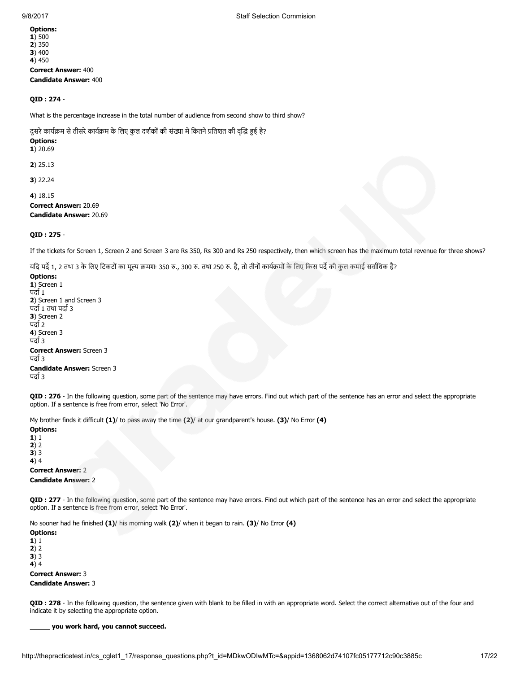Options: 1) 500 2) 350 3) 400 4) 450 Correct Answer: 400 Candidate Answer: 400

## QID : 274 -

What is the percentage increase in the total number of audience from second show to third show?

दूसरे कार्यक्रम से तीसरे कार्यक्रम के लिए कुल दर्शकों की संख्या में कितने प्रतिशत की वृद्धि हुई है?

# Options:

1) 20.69

2) 25.13

3) 22.24

4) 18.15 Correct Answer: 20.69

Candidate Answer: 20.69

#### QID : 275 -

If the tickets for Screen 1, Screen 2 and Screen 3 are Rs 350, Rs 300 and Rs 250 respectively, then which screen has the maximum total revenue for three shows?

यदि पर्दे 1, 2 तथा 3 के लिए टिकटों का मूल्य क्रमशः 350 रु., 300 रु. तथा 250 रु. है, तो तीनों कार्यक्रमों के लिए किस पर्दे की कुल कमाई सर्वाधिक है?

Options: 1) Screen 1

पर्दा 1 2) Screen 1 and Screen 3 पर्दा १ तथा पर्दा ३ 3) Screen 2 पर्दा २ 4) Screen 3 पर्दा 3 Correct Answer: Screen 3 पर्दा 3 Candidate Answer: Screen 3 पर्दा 3

QID : 276 - In the following question, some part of the sentence may have errors. Find out which part of the sentence has an error and select the appropriate option. If a sentence is free from error, select 'No Error'.

My brother finds it difficult  $(1)$ / to pass away the time  $(2)$ / at our grandparent's house.  $(3)$ / No Error  $(4)$ 

Options: 1) 1 2) 2 3) 3 4) 4 Correct Answer: 2 Candidate Answer: 2

QID : 277 - In the following question, some part of the sentence may have errors. Find out which part of the sentence has an error and select the appropriate option. If a sentence is free from error, select 'No Error'.

No sooner had he finished (1)/ his morning walk (2)/ when it began to rain. (3)/ No Error (4)

Options: 1) 1  $2) 2$ 3) 3 4) 4 Correct Answer: 3 Candidate Answer: 3

QID : 278 - In the following question, the sentence given with blank to be filled in with an appropriate word. Select the correct alternative out of the four and indicate it by selecting the appropriate option.

#### \_\_\_\_\_ you work hard, you cannot succeed.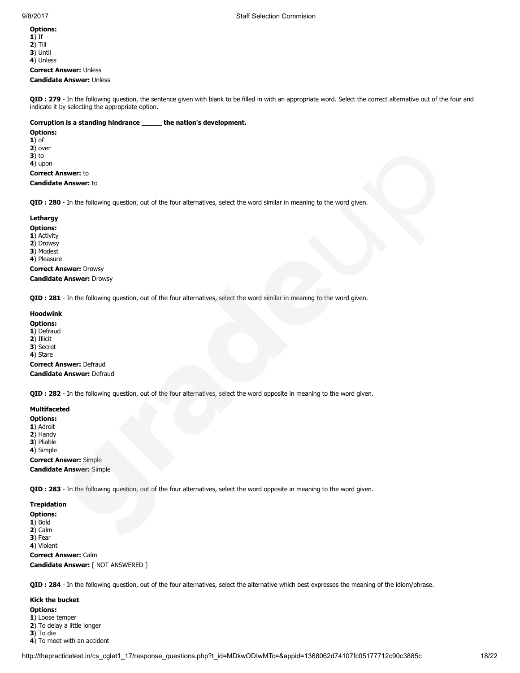1) If 2) Till 3) Until 4) Unless Correct Answer: Unless

Candidate Answer: Unless

QID : 279 - In the following question, the sentence given with blank to be filled in with an appropriate word. Select the correct alternative out of the four and indicate it by selecting the appropriate option.

# Corruption is a standing hindrance \_\_\_\_\_ the nation's development.

Options: 1) of 2) over 3) to 4) upon

Correct Answer: to Candidate Answer: to

QID : 280 - In the following question, out of the four alternatives, select the word similar in meaning to the word given.

# Lethargy

# Options:

1) Activity 2) Drowsy

3) Modest

4) Pleasure

Correct Answer: Drowsy Candidate Answer: Drowsy

QID : 281 - In the following question, out of the four alternatives, select the word similar in meaning to the word given.

# Hoodwink

Options:

- 1) Defraud 2) Illicit
- 3) Secret
- 4) Stare

Correct Answer: Defraud

# Candidate Answer: Defraud

QID : 282 - In the following question, out of the four alternatives, select the word opposite in meaning to the word given.

# Multifaceted

Options:

- 1) Adroit 2) Handy
- 3) Pliable

4) Simple

Correct Answer: Simple

Candidate Answer: Simple

QID : 283 - In the following question, out of the four alternatives, select the word opposite in meaning to the word given.

# Trepidation

Options: 1) Bold 2) Calm 3) Fear 4) Violent Correct Answer: Calm Candidate Answer: [ NOT ANSWERED ]

QID : 284 - In the following question, out of the four alternatives, select the alternative which best expresses the meaning of the idiom/phrase.

#### Kick the bucket

Options:

1) Loose temper 2) To delay a little longer

3) To die

4) To meet with an accident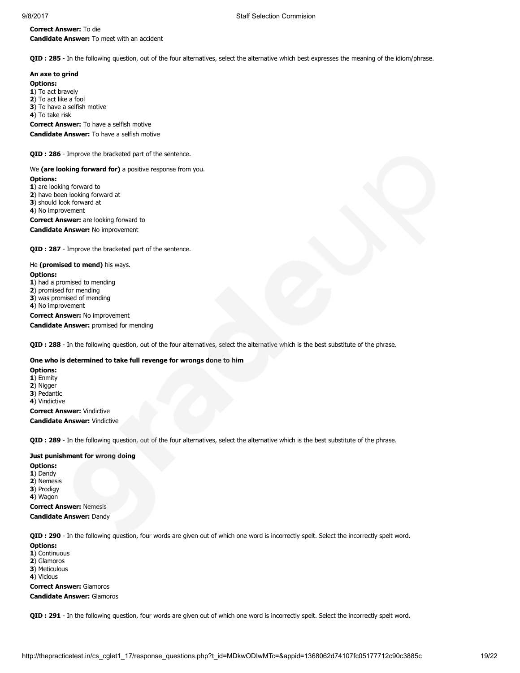## Correct Answer: To die Candidate Answer: To meet with an accident

QID : 285 - In the following question, out of the four alternatives, select the alternative which best expresses the meaning of the idiom/phrase.

# An axe to grind

Options: 1) To act bravely 2) To act like a fool 3) To have a selfish motive 4) To take risk Correct Answer: To have a selfish motive Candidate Answer: To have a selfish motive

QID : 286 - Improve the bracketed part of the sentence.

We (are looking forward for) a positive response from you. Options:

1) are looking forward to 2) have been looking forward at 3) should look forward at 4) No improvement Correct Answer: are looking forward to Candidate Answer: No improvement

QID : 287 - Improve the bracketed part of the sentence.

He (promised to mend) his ways.

Options:

1) had a promised to mending

2) promised for mending

3) was promised of mending

4) No improvement

Correct Answer: No improvement Candidate Answer: promised for mending

QID : 288 - In the following question, out of the four alternatives, select the alternative which is the best substitute of the phrase.

# One who is determined to take full revenge for wrongs done to him

Options: 1) Enmity 2) Nigger

3) Pedantic

4) Vindictive

Correct Answer: Vindictive

Candidate Answer: Vindictive

QID : 289 - In the following question, out of the four alternatives, select the alternative which is the best substitute of the phrase.

# Just punishment for wrong doing

Options:

1) Dandy 2) Nemesis

3) Prodigy 4) Wagon

Correct Answer: Nemesis Candidate Answer: Dandy

QID : 290 - In the following question, four words are given out of which one word is incorrectly spelt. Select the incorrectly spelt word.

Options: 1) Continuous 2) Glamoros 3) Meticulous 4) Vicious Correct Answer: Glamoros

Candidate Answer: Glamoros

QID : 291 - In the following question, four words are given out of which one word is incorrectly spelt. Select the incorrectly spelt word.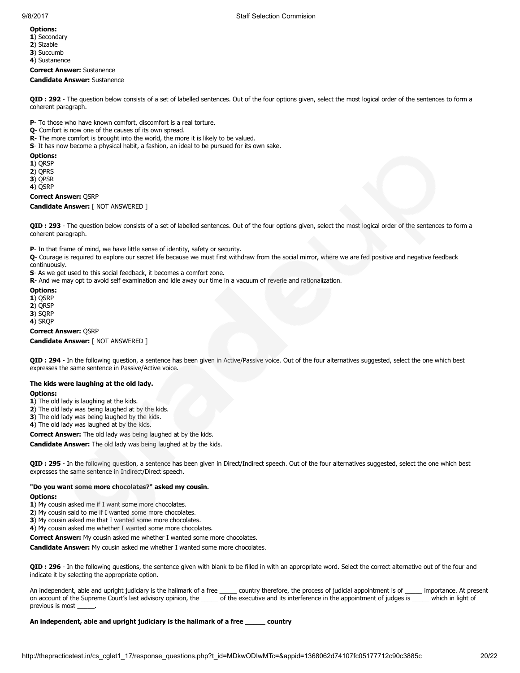- 1) Secondary
- 2) Sizable
- 3) Succumb
- 4) Sustanence

Correct Answer: Sustanence Candidate Answer: Sustanence

QID : 292 - The question below consists of a set of labelled sentences. Out of the four options given, select the most logical order of the sentences to form a coherent paragraph.

P- To those who have known comfort, discomfort is a real torture.

- Q- Comfort is now one of the causes of its own spread.
- R- The more comfort is brought into the world, the more it is likely to be valued.
- S- It has now become a physical habit, a fashion, an ideal to be pursued for its own sake.

# Options:

1) QRSP

2) QPRS

3) QPSR

4) QSRP

#### Correct Answer: QSRP

Candidate Answer: [ NOT ANSWERED ]

QID : 293 - The question below consists of a set of labelled sentences. Out of the four options given, select the most logical order of the sentences to form a coherent paragraph.

P- In that frame of mind, we have little sense of identity, safety or security.

Q- Courage is required to explore our secret life because we must first withdraw from the social mirror, where we are fed positive and negative feedback continuously.

S- As we get used to this social feedback, it becomes a comfort zone.

R- And we may opt to avoid self examination and idle away our time in a vacuum of reverie and rationalization.

Options: 1) QSRP

2) QRSP

3) SQRP

4) SRQP

Correct Answer: QSRP

Candidate Answer: [ NOT ANSWERED ]

QID : 294 - In the following question, a sentence has been given in Active/Passive voice. Out of the four alternatives suggested, select the one which best expresses the same sentence in Passive/Active voice.

# The kids were laughing at the old lady.

#### Options:

1) The old lady is laughing at the kids.

2) The old lady was being laughed at by the kids.

3) The old lady was being laughed by the kids.

4) The old lady was laughed at by the kids.

Correct Answer: The old lady was being laughed at by the kids.

Candidate Answer: The old lady was being laughed at by the kids.

QID : 295 - In the following question, a sentence has been given in Direct/Indirect speech. Out of the four alternatives suggested, select the one which best expresses the same sentence in Indirect/Direct speech.

# "Do you want some more chocolates?" asked my cousin.

Options:

1) My cousin asked me if I want some more chocolates.

2) My cousin said to me if I wanted some more chocolates.

3) My cousin asked me that I wanted some more chocolates.

4) My cousin asked me whether I wanted some more chocolates.

Correct Answer: My cousin asked me whether I wanted some more chocolates.

Candidate Answer: My cousin asked me whether I wanted some more chocolates.

QID : 296 - In the following questions, the sentence given with blank to be filled in with an appropriate word. Select the correct alternative out of the four and indicate it by selecting the appropriate option.

An independent, able and upright judiciary is the hallmark of a free \_\_\_\_\_ country therefore, the process of judicial appointment is of \_\_\_\_\_ importance. At present on account of the Supreme Court's last advisory opinion, the \_\_\_\_\_ of the executive and its interference in the appointment of judges is \_\_\_\_\_ which in light of previous is most

An independent, able and upright judiciary is the hallmark of a free \_\_\_\_\_\_ country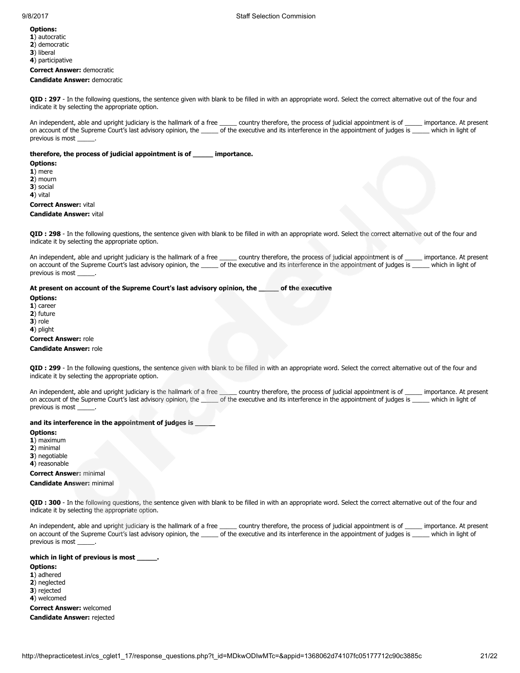- 1) autocratic 2) democratic
- 3) liberal
- 4) participative

Correct Answer: democratic Candidate Answer: democratic

QID : 297 - In the following questions, the sentence given with blank to be filled in with an appropriate word. Select the correct alternative out of the four and indicate it by selecting the appropriate option.

An independent, able and upright judiciary is the hallmark of a free \_\_\_\_\_ country therefore, the process of judicial appointment is of \_\_\_\_\_ importance. At present on account of the Supreme Court's last advisory opinion, the \_\_\_\_\_ of the executive and its interference in the appointment of judges is \_\_\_\_\_ which in light of previous is most

#### therefore, the process of judicial appointment is of \_\_\_\_\_ importance.

Options:

- 1) mere
- 2) mourn
- 3) social
- 4) vital

#### Correct Answer: vital

#### Candidate Answer: vital

QID : 298 - In the following questions, the sentence given with blank to be filled in with an appropriate word. Select the correct alternative out of the four and indicate it by selecting the appropriate option.

An independent, able and upright judiciary is the hallmark of a free \_\_\_\_\_ country therefore, the process of judicial appointment is of \_\_\_\_\_ importance. At present on account of the Supreme Court's last advisory opinion, the \_\_\_\_\_ of the executive and its interference in the appointment of judges is \_\_\_\_\_ which in light of previous is most \_

#### At present on account of the Supreme Court's last advisory opinion, the \_\_\_\_\_ of the executive

Options:

1) career

2) future

3) role

4) plight

#### Correct Answer: role Candidate Answer: role

QID : 299 - In the following questions, the sentence given with blank to be filled in with an appropriate word. Select the correct alternative out of the four and indicate it by selecting the appropriate option.

An independent, able and upright judiciary is the hallmark of a free \_\_\_\_\_ country therefore, the process of judicial appointment is of \_\_\_\_\_ importance. At present on account of the Supreme Court's last advisory opinion, the \_\_\_\_\_ of the executive and its interference in the appointment of judges is \_\_\_\_\_ which in light of previous is most \_

# and its interference in the appointment of judges is \_

#### Options:

1) maximum

2) minimal

3) negotiable 4) reasonable

Correct Answer: minimal

Candidate Answer: minimal

QID : 300 - In the following questions, the sentence given with blank to be filled in with an appropriate word. Select the correct alternative out of the four and indicate it by selecting the appropriate option.

An independent, able and upright judiciary is the hallmark of a free \_\_\_\_\_ country therefore, the process of judicial appointment is of \_\_\_\_\_ importance. At present on account of the Supreme Court's last advisory opinion, the \_\_\_\_\_ of the executive and its interference in the appointment of judges is \_\_\_\_\_ which in light of previous is most

## which in light of previous is most \_\_\_

Options:

- 1) adhered
- 2) neglected
- 3) rejected
- 4) welcomed

Correct Answer: welcomed Candidate Answer: rejected